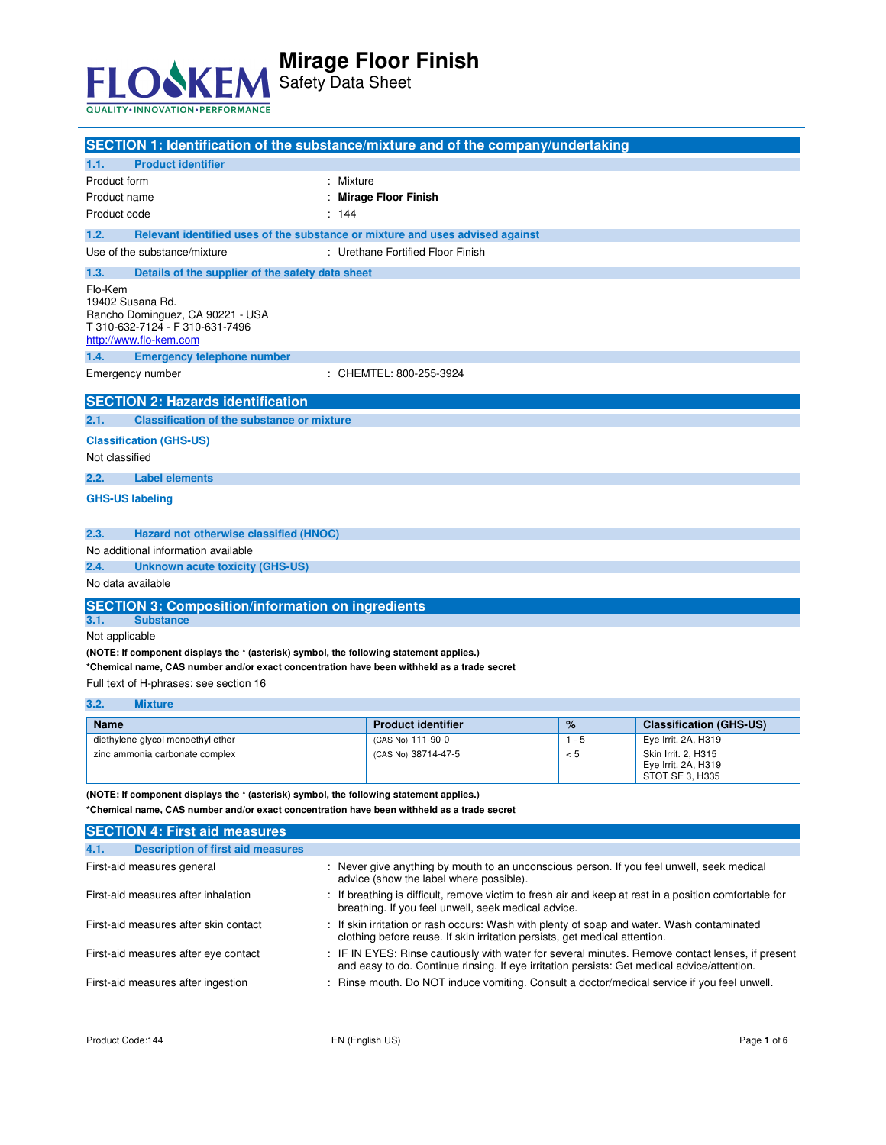

Safety Data Sheet

| SECTION 1: Identification of the substance/mixture and of the company/undertaking                                                                                                     |         |                                                                                                                                                                          |         |                                                                                                        |
|---------------------------------------------------------------------------------------------------------------------------------------------------------------------------------------|---------|--------------------------------------------------------------------------------------------------------------------------------------------------------------------------|---------|--------------------------------------------------------------------------------------------------------|
| 1.1.<br><b>Product identifier</b>                                                                                                                                                     |         |                                                                                                                                                                          |         |                                                                                                        |
| Product form                                                                                                                                                                          | Mixture |                                                                                                                                                                          |         |                                                                                                        |
| Product name                                                                                                                                                                          |         | <b>Mirage Floor Finish</b>                                                                                                                                               |         |                                                                                                        |
| Product code                                                                                                                                                                          | : 144   |                                                                                                                                                                          |         |                                                                                                        |
| 1.2.                                                                                                                                                                                  |         | Relevant identified uses of the substance or mixture and uses advised against                                                                                            |         |                                                                                                        |
| Use of the substance/mixture                                                                                                                                                          |         | : Urethane Fortified Floor Finish                                                                                                                                        |         |                                                                                                        |
| 1.3.<br>Details of the supplier of the safety data sheet                                                                                                                              |         |                                                                                                                                                                          |         |                                                                                                        |
| Flo-Kem<br>19402 Susana Rd.<br>Rancho Dominguez, CA 90221 - USA<br>T 310-632-7124 - F 310-631-7496<br>http://www.flo-kem.com                                                          |         |                                                                                                                                                                          |         |                                                                                                        |
| 1.4.<br><b>Emergency telephone number</b>                                                                                                                                             |         |                                                                                                                                                                          |         |                                                                                                        |
| Emergency number                                                                                                                                                                      |         | : CHEMTEL: 800-255-3924                                                                                                                                                  |         |                                                                                                        |
| <b>SECTION 2: Hazards identification</b>                                                                                                                                              |         |                                                                                                                                                                          |         |                                                                                                        |
| <b>Classification of the substance or mixture</b><br>2.1.                                                                                                                             |         |                                                                                                                                                                          |         |                                                                                                        |
| <b>Classification (GHS-US)</b>                                                                                                                                                        |         |                                                                                                                                                                          |         |                                                                                                        |
| Not classified                                                                                                                                                                        |         |                                                                                                                                                                          |         |                                                                                                        |
| 2.2.<br><b>Label elements</b>                                                                                                                                                         |         |                                                                                                                                                                          |         |                                                                                                        |
| <b>GHS-US labeling</b>                                                                                                                                                                |         |                                                                                                                                                                          |         |                                                                                                        |
|                                                                                                                                                                                       |         |                                                                                                                                                                          |         |                                                                                                        |
| 2.3.<br>Hazard not otherwise classified (HNOC)                                                                                                                                        |         |                                                                                                                                                                          |         |                                                                                                        |
| No additional information available                                                                                                                                                   |         |                                                                                                                                                                          |         |                                                                                                        |
| 2.4.<br>Unknown acute toxicity (GHS-US)                                                                                                                                               |         |                                                                                                                                                                          |         |                                                                                                        |
| No data available                                                                                                                                                                     |         |                                                                                                                                                                          |         |                                                                                                        |
| <b>SECTION 3: Composition/information on ingredients</b>                                                                                                                              |         |                                                                                                                                                                          |         |                                                                                                        |
| 3.1.<br><b>Substance</b>                                                                                                                                                              |         |                                                                                                                                                                          |         |                                                                                                        |
| Not applicable                                                                                                                                                                        |         |                                                                                                                                                                          |         |                                                                                                        |
| (NOTE: If component displays the * (asterisk) symbol, the following statement applies.)                                                                                               |         |                                                                                                                                                                          |         |                                                                                                        |
| *Chemical name, CAS number and/or exact concentration have been withheld as a trade secret                                                                                            |         |                                                                                                                                                                          |         |                                                                                                        |
| Full text of H-phrases: see section 16                                                                                                                                                |         |                                                                                                                                                                          |         |                                                                                                        |
| 3.2.<br><b>Mixture</b>                                                                                                                                                                |         |                                                                                                                                                                          |         |                                                                                                        |
| <b>Name</b>                                                                                                                                                                           |         | <b>Product identifier</b>                                                                                                                                                | $\%$    | <b>Classification (GHS-US)</b>                                                                         |
| diethylene glycol monoethyl ether                                                                                                                                                     |         | (CAS No) 111-90-0                                                                                                                                                        | $1 - 5$ | Eye Irrit. 2A, H319                                                                                    |
| zinc ammonia carbonate complex                                                                                                                                                        |         | (CAS No) 38714-47-5                                                                                                                                                      | < 5     | Skin Irrit. 2, H315<br>Eye Irrit. 2A, H319                                                             |
|                                                                                                                                                                                       |         |                                                                                                                                                                          |         | STOT SE 3, H335                                                                                        |
| (NOTE: If component displays the * (asterisk) symbol, the following statement applies.)<br>*Chemical name, CAS number and/or exact concentration have been withheld as a trade secret |         |                                                                                                                                                                          |         |                                                                                                        |
| <b>SECTION 4: First aid measures</b>                                                                                                                                                  |         |                                                                                                                                                                          |         |                                                                                                        |
| 4.1.<br><b>Description of first aid measures</b>                                                                                                                                      |         |                                                                                                                                                                          |         |                                                                                                        |
|                                                                                                                                                                                       |         |                                                                                                                                                                          |         |                                                                                                        |
| First-aid measures general                                                                                                                                                            |         | : Never give anything by mouth to an unconscious person. If you feel unwell, seek medical<br>advice (show the label where possible).                                     |         |                                                                                                        |
| First-aid measures after inhalation                                                                                                                                                   |         | breathing. If you feel unwell, seek medical advice.                                                                                                                      |         | : If breathing is difficult, remove victim to fresh air and keep at rest in a position comfortable for |
| First-aid measures after skin contact                                                                                                                                                 |         | : If skin irritation or rash occurs: Wash with plenty of soap and water. Wash contaminated<br>clothing before reuse. If skin irritation persists, get medical attention. |         |                                                                                                        |

First-aid measures after ingestion : Rinse mouth. Do NOT induce vomiting. Consult a doctor/medical service if you feel unwell.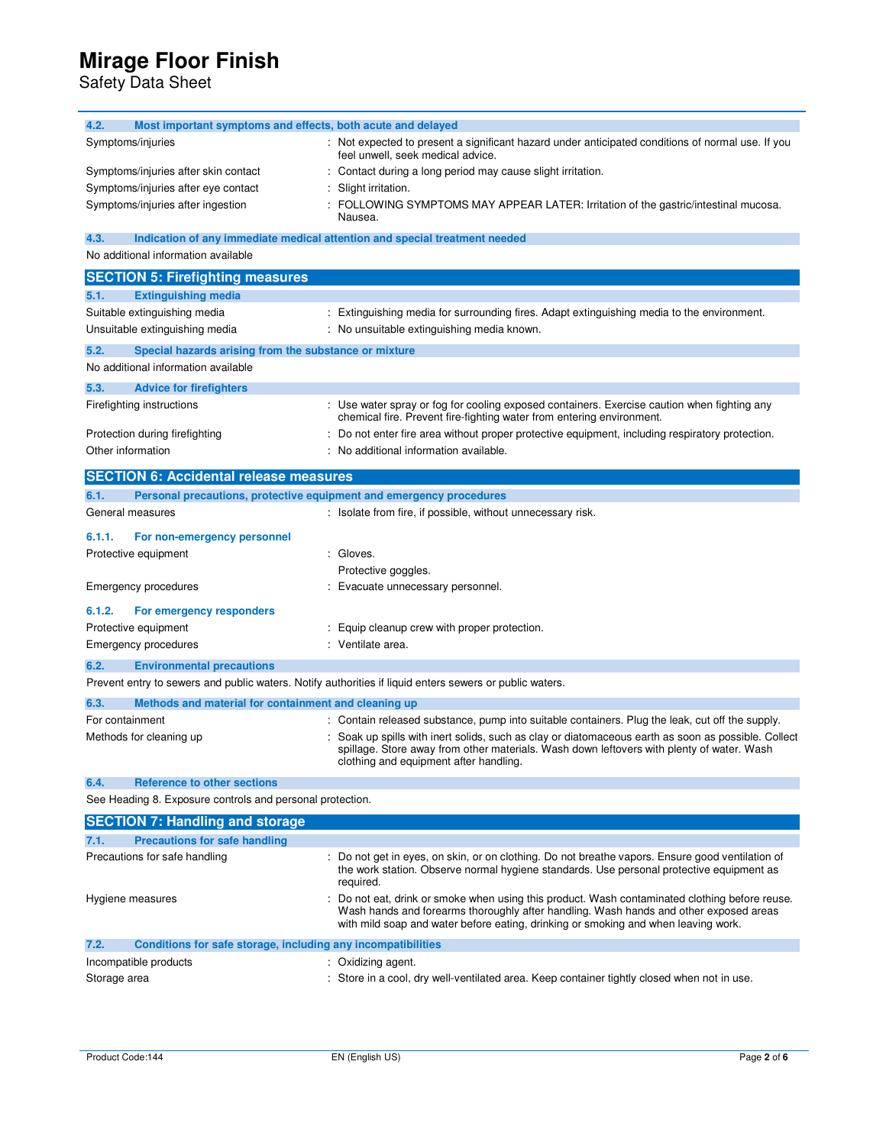Safety Data Sheet

| 4.2.<br>Most important symptoms and effects, both acute and delayed         |                                                                                                                                                                                                                                                                             |
|-----------------------------------------------------------------------------|-----------------------------------------------------------------------------------------------------------------------------------------------------------------------------------------------------------------------------------------------------------------------------|
| Symptoms/injuries                                                           | : Not expected to present a significant hazard under anticipated conditions of normal use. If you<br>feel unwell, seek medical advice.                                                                                                                                      |
| Symptoms/injuries after skin contact                                        | Contact during a long period may cause slight irritation.                                                                                                                                                                                                                   |
| Symptoms/injuries after eye contact                                         | Slight irritation.                                                                                                                                                                                                                                                          |
| Symptoms/injuries after ingestion                                           | FOLLOWING SYMPTOMS MAY APPEAR LATER: Irritation of the gastric/intestinal mucosa.<br>Nausea.                                                                                                                                                                                |
| 4.3.                                                                        | Indication of any immediate medical attention and special treatment needed                                                                                                                                                                                                  |
| No additional information available                                         |                                                                                                                                                                                                                                                                             |
| <b>SECTION 5: Firefighting measures</b>                                     |                                                                                                                                                                                                                                                                             |
| 5.1.<br><b>Extinguishing media</b>                                          |                                                                                                                                                                                                                                                                             |
| Suitable extinguishing media                                                | : Extinguishing media for surrounding fires. Adapt extinguishing media to the environment.                                                                                                                                                                                  |
| Unsuitable extinguishing media                                              | No unsuitable extinguishing media known.                                                                                                                                                                                                                                    |
| 5.2.<br>Special hazards arising from the substance or mixture               |                                                                                                                                                                                                                                                                             |
| No additional information available                                         |                                                                                                                                                                                                                                                                             |
| 5.3.<br><b>Advice for firefighters</b>                                      |                                                                                                                                                                                                                                                                             |
| Firefighting instructions                                                   | Use water spray or fog for cooling exposed containers. Exercise caution when fighting any<br>chemical fire. Prevent fire-fighting water from entering environment.                                                                                                          |
| Protection during firefighting                                              | Do not enter fire area without proper protective equipment, including respiratory protection.                                                                                                                                                                               |
| Other information                                                           | No additional information available.                                                                                                                                                                                                                                        |
|                                                                             |                                                                                                                                                                                                                                                                             |
| <b>SECTION 6: Accidental release measures</b>                               |                                                                                                                                                                                                                                                                             |
| 6.1.<br>Personal precautions, protective equipment and emergency procedures |                                                                                                                                                                                                                                                                             |
| General measures                                                            | : Isolate from fire, if possible, without unnecessary risk.                                                                                                                                                                                                                 |
| 6.1.1.<br>For non-emergency personnel                                       |                                                                                                                                                                                                                                                                             |
| Protective equipment                                                        | : Gloves.                                                                                                                                                                                                                                                                   |
|                                                                             | Protective goggles.                                                                                                                                                                                                                                                         |
| <b>Emergency procedures</b>                                                 | Evacuate unnecessary personnel.                                                                                                                                                                                                                                             |
| 6.1.2.<br>For emergency responders                                          |                                                                                                                                                                                                                                                                             |
| Protective equipment                                                        | Equip cleanup crew with proper protection.                                                                                                                                                                                                                                  |
| <b>Emergency procedures</b>                                                 | : Ventilate area.                                                                                                                                                                                                                                                           |
| 6.2.<br><b>Environmental precautions</b>                                    |                                                                                                                                                                                                                                                                             |
|                                                                             | Prevent entry to sewers and public waters. Notify authorities if liquid enters sewers or public waters.                                                                                                                                                                     |
| 6.3.<br>Methods and material for containment and cleaning up                |                                                                                                                                                                                                                                                                             |
| For containment                                                             | : Contain released substance, pump into suitable containers. Plug the leak, cut off the supply.                                                                                                                                                                             |
| Methods for cleaning up                                                     | Soak up spills with inert solids, such as clay or diatomaceous earth as soon as possible. Collect<br>spillage. Store away from other materials. Wash down leftovers with plenty of water. Wash<br>clothing and equipment after handling                                     |
| 6.4.<br><b>Reference to other sections</b>                                  |                                                                                                                                                                                                                                                                             |
| See Heading 8. Exposure controls and personal protection.                   |                                                                                                                                                                                                                                                                             |
| <b>SECTION 7: Handling and storage</b>                                      |                                                                                                                                                                                                                                                                             |
| 7.1.<br><b>Precautions for safe handling</b>                                |                                                                                                                                                                                                                                                                             |
| Precautions for safe handling                                               | : Do not get in eyes, on skin, or on clothing. Do not breathe vapors. Ensure good ventilation of<br>the work station. Observe normal hygiene standards. Use personal protective equipment as<br>required.                                                                   |
| Hygiene measures                                                            | Do not eat, drink or smoke when using this product. Wash contaminated clothing before reuse.<br>Wash hands and forearms thoroughly after handling. Wash hands and other exposed areas<br>with mild soap and water before eating, drinking or smoking and when leaving work. |
| 7.2.<br>Conditions for safe storage, including any incompatibilities        |                                                                                                                                                                                                                                                                             |
| Incompatible products                                                       | : Oxidizing agent.                                                                                                                                                                                                                                                          |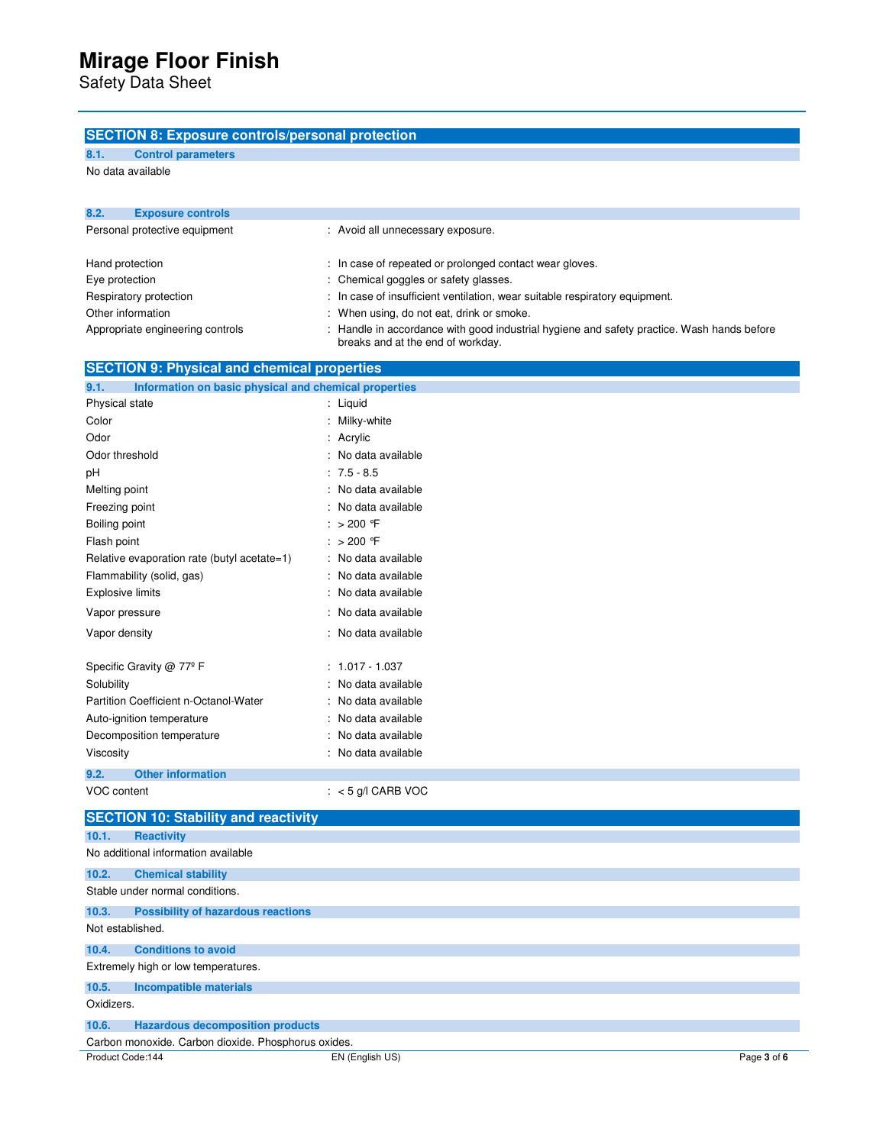Safety Data Sheet

### **SECTION 8: Exposure controls/personal protection**

**8.1. Control parameters** 

No data available

| 8.2.                          | <b>Exposure controls</b>         |                                                                                                                                 |
|-------------------------------|----------------------------------|---------------------------------------------------------------------------------------------------------------------------------|
| Personal protective equipment |                                  | : Avoid all unnecessary exposure.                                                                                               |
|                               | Hand protection                  | : In case of repeated or prolonged contact wear gloves.                                                                         |
| Eye protection                |                                  | : Chemical goggles or safety glasses.                                                                                           |
|                               | Respiratory protection           | : In case of insufficient ventilation, wear suitable respiratory equipment.                                                     |
|                               | Other information                | : When using, do not eat, drink or smoke.                                                                                       |
|                               | Appropriate engineering controls | : Handle in accordance with good industrial hygiene and safety practice. Wash hands before<br>breaks and at the end of workday. |

| <b>SECTION 9: Physical and chemical properties</b>            |                      |  |  |  |
|---------------------------------------------------------------|----------------------|--|--|--|
| 9.1.<br>Information on basic physical and chemical properties |                      |  |  |  |
| Physical state                                                | : Liquid             |  |  |  |
| Color                                                         | : Milky-white        |  |  |  |
| Odor                                                          | : Acrylic            |  |  |  |
| Odor threshold                                                | : No data available  |  |  |  |
| pH                                                            | $: 7.5 - 8.5$        |  |  |  |
| Melting point                                                 | : No data available  |  |  |  |
| Freezing point                                                | : No data available  |  |  |  |
| Boiling point                                                 | : $> 200$ °F         |  |  |  |
| Flash point                                                   | : $> 200$ °F         |  |  |  |
| Relative evaporation rate (butyl acetate=1)                   | : No data available  |  |  |  |
| Flammability (solid, gas)                                     | : No data available  |  |  |  |
| <b>Explosive limits</b>                                       | : No data available  |  |  |  |
| Vapor pressure                                                | : No data available  |  |  |  |
| Vapor density                                                 | : No data available  |  |  |  |
|                                                               |                      |  |  |  |
| Specific Gravity @ 77º F                                      | $: 1.017 - 1.037$    |  |  |  |
| Solubility                                                    | : No data available  |  |  |  |
| Partition Coefficient n-Octanol-Water                         | : No data available  |  |  |  |
| Auto-ignition temperature                                     | : No data available  |  |  |  |
| Decomposition temperature                                     | : No data available  |  |  |  |
| Viscosity                                                     | : No data available  |  |  |  |
| 9.2.<br><b>Other information</b>                              |                      |  |  |  |
| VOC content                                                   | $: < 5$ g/l CARB VOC |  |  |  |

|            | <b>SECTION 10: Stability and reactivity</b>         |                 |             |
|------------|-----------------------------------------------------|-----------------|-------------|
| 10.1.      | <b>Reactivity</b>                                   |                 |             |
|            | No additional information available                 |                 |             |
| 10.2.      | <b>Chemical stability</b>                           |                 |             |
|            | Stable under normal conditions.                     |                 |             |
| 10.3.      | <b>Possibility of hazardous reactions</b>           |                 |             |
|            | Not established.                                    |                 |             |
| 10.4.      | <b>Conditions to avoid</b>                          |                 |             |
|            | Extremely high or low temperatures.                 |                 |             |
| 10.5.      | Incompatible materials                              |                 |             |
| Oxidizers. |                                                     |                 |             |
| 10.6.      | <b>Hazardous decomposition products</b>             |                 |             |
|            | Carbon monoxide. Carbon dioxide. Phosphorus oxides. |                 |             |
|            | Product Code:144                                    | EN (English US) | Page 3 of 6 |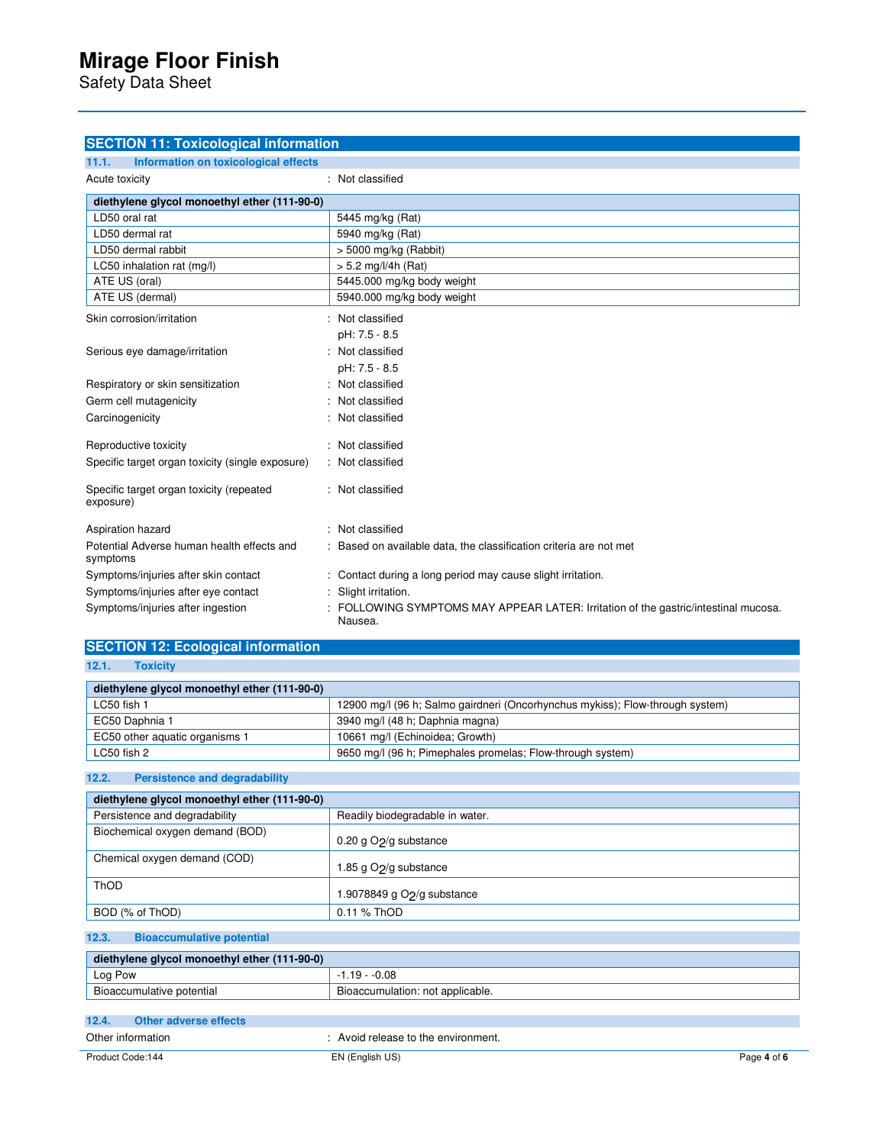Safety Data Sheet

| <b>SECTION 11: Toxicological information</b>           |                                                                                              |
|--------------------------------------------------------|----------------------------------------------------------------------------------------------|
| Information on toxicological effects<br>11.1.          |                                                                                              |
| Acute toxicity                                         | : Not classified                                                                             |
| diethylene glycol monoethyl ether (111-90-0)           |                                                                                              |
| LD50 oral rat                                          | 5445 mg/kg (Rat)                                                                             |
| LD50 dermal rat                                        | 5940 mg/kg (Rat)                                                                             |
| LD50 dermal rabbit                                     | $>$ 5000 mg/kg (Rabbit)                                                                      |
| LC50 inhalation rat (mg/l)                             | $> 5.2$ mg/l/4h (Rat)                                                                        |
| ATE US (oral)                                          | 5445.000 mg/kg body weight                                                                   |
| ATE US (dermal)                                        | 5940.000 mg/kg body weight                                                                   |
| Skin corrosion/irritation                              | : Not classified                                                                             |
|                                                        | pH: 7.5 - 8.5                                                                                |
| Serious eye damage/irritation                          | : Not classified                                                                             |
|                                                        | pH: 7.5 - 8.5                                                                                |
| Respiratory or skin sensitization                      | : Not classified                                                                             |
| Germ cell mutagenicity                                 | : Not classified                                                                             |
| Carcinogenicity                                        | : Not classified                                                                             |
| Reproductive toxicity                                  | : Not classified                                                                             |
| Specific target organ toxicity (single exposure)       | : Not classified                                                                             |
| Specific target organ toxicity (repeated<br>exposure)  | : Not classified                                                                             |
| Aspiration hazard                                      | : Not classified                                                                             |
| Potential Adverse human health effects and<br>symptoms | : Based on available data, the classification criteria are not met                           |
| Symptoms/injuries after skin contact                   | : Contact during a long period may cause slight irritation.                                  |
| Symptoms/injuries after eye contact                    | Slight irritation.                                                                           |
| Symptoms/injuries after ingestion                      | FOLLOWING SYMPTOMS MAY APPEAR LATER: Irritation of the gastric/intestinal mucosa.<br>Nausea. |

# **SECTION 12: Ecological information**

| 12.1. |  | Toxicity |  |
|-------|--|----------|--|
|       |  |          |  |
|       |  |          |  |

| diethylene glycol monoethyl ether (111-90-0) |                                                                               |
|----------------------------------------------|-------------------------------------------------------------------------------|
| LC50 fish 1                                  | 12900 mg/l (96 h; Salmo gairdneri (Oncorhynchus mykiss); Flow-through system) |
| EC50 Daphnia 1                               | 3940 mg/l (48 h; Daphnia magna)                                               |
| EC50 other aquatic organisms 1               | 10661 mg/l (Echinoidea; Growth)                                               |
| LC50 fish 2                                  | 9650 mg/l (96 h; Pimephales promelas; Flow-through system)                    |

**12.2. Persistence and degradability** 

| diethylene glycol monoethyl ether (111-90-0) |                                    |
|----------------------------------------------|------------------------------------|
| Persistence and degradability                | Readily biodegradable in water.    |
| Biochemical oxygen demand (BOD)              | 0.20 g $O2$ /g substance           |
| Chemical oxygen demand (COD)                 | 1.85 g O <sub>2</sub> /g substance |
| ThOD                                         | 1.9078849 g $O2/g$ substance       |
| BOD (% of ThOD)                              | 0.11 % ThOD                        |

#### **12.3. Bioaccumulative potential**

| diethylene glycol monoethyl ether (111-90-0) |                                  |  |
|----------------------------------------------|----------------------------------|--|
| Log Pow                                      | $1.19 - 0.08$                    |  |
| Bioaccumulative potential                    | Bioaccumulation: not applicable. |  |

| 12.4.             | Other adverse effects |                                   |             |
|-------------------|-----------------------|-----------------------------------|-------------|
| Other information |                       | Avoid release to the environment. |             |
| Product Code:144  |                       | EN (English US)                   | Page 4 of 6 |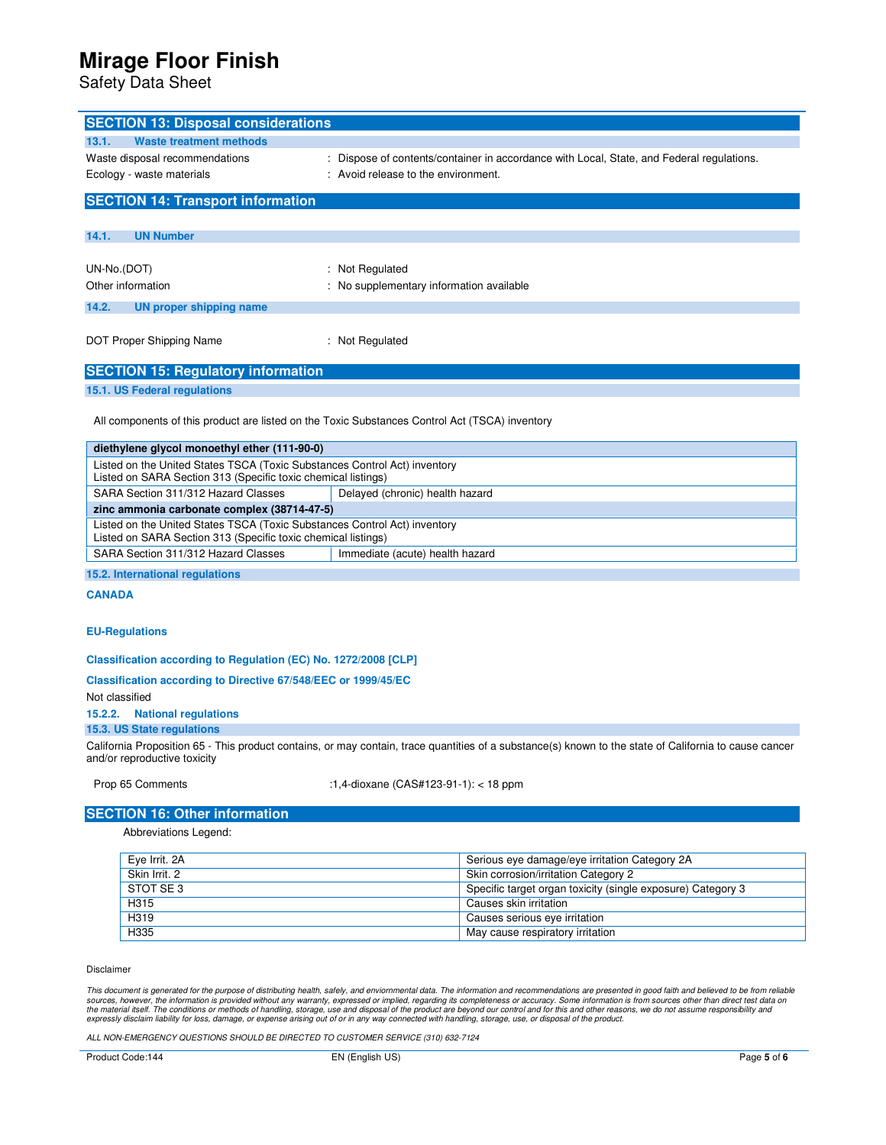Safety Data Sheet

| <b>SECTION 13: Disposal considerations</b>                                                                                                 |                                                                                                                                                        |  |  |
|--------------------------------------------------------------------------------------------------------------------------------------------|--------------------------------------------------------------------------------------------------------------------------------------------------------|--|--|
| 13.1.<br><b>Waste treatment methods</b>                                                                                                    |                                                                                                                                                        |  |  |
| Waste disposal recommendations                                                                                                             | Dispose of contents/container in accordance with Local, State, and Federal regulations.                                                                |  |  |
| Ecology - waste materials                                                                                                                  | : Avoid release to the environment.                                                                                                                    |  |  |
|                                                                                                                                            |                                                                                                                                                        |  |  |
| <b>SECTION 14: Transport information</b>                                                                                                   |                                                                                                                                                        |  |  |
|                                                                                                                                            |                                                                                                                                                        |  |  |
| 14.1.<br><b>UN Number</b>                                                                                                                  |                                                                                                                                                        |  |  |
| UN-No.(DOT)                                                                                                                                | : Not Regulated                                                                                                                                        |  |  |
| Other information                                                                                                                          | : No supplementary information available                                                                                                               |  |  |
|                                                                                                                                            |                                                                                                                                                        |  |  |
| 14.2.<br><b>UN proper shipping name</b>                                                                                                    |                                                                                                                                                        |  |  |
|                                                                                                                                            |                                                                                                                                                        |  |  |
| DOT Proper Shipping Name                                                                                                                   | : Not Regulated                                                                                                                                        |  |  |
| <b>SECTION 15: Regulatory information</b>                                                                                                  |                                                                                                                                                        |  |  |
| 15.1. US Federal regulations                                                                                                               |                                                                                                                                                        |  |  |
|                                                                                                                                            |                                                                                                                                                        |  |  |
| All components of this product are listed on the Toxic Substances Control Act (TSCA) inventory                                             |                                                                                                                                                        |  |  |
|                                                                                                                                            |                                                                                                                                                        |  |  |
| diethylene glycol monoethyl ether (111-90-0)                                                                                               |                                                                                                                                                        |  |  |
| Listed on the United States TSCA (Toxic Substances Control Act) inventory<br>Listed on SARA Section 313 (Specific toxic chemical listings) |                                                                                                                                                        |  |  |
| SARA Section 311/312 Hazard Classes                                                                                                        | Delayed (chronic) health hazard                                                                                                                        |  |  |
| zinc ammonia carbonate complex (38714-47-5)                                                                                                |                                                                                                                                                        |  |  |
| Listed on the United States TSCA (Toxic Substances Control Act) inventory                                                                  |                                                                                                                                                        |  |  |
|                                                                                                                                            | Listed on SARA Section 313 (Specific toxic chemical listings)                                                                                          |  |  |
| SARA Section 311/312 Hazard Classes                                                                                                        | Immediate (acute) health hazard                                                                                                                        |  |  |
| 15.2. International regulations                                                                                                            |                                                                                                                                                        |  |  |
| <b>CANADA</b>                                                                                                                              |                                                                                                                                                        |  |  |
|                                                                                                                                            |                                                                                                                                                        |  |  |
| <b>EU-Regulations</b>                                                                                                                      |                                                                                                                                                        |  |  |
|                                                                                                                                            |                                                                                                                                                        |  |  |
| Classification according to Regulation (EC) No. 1272/2008 [CLP]                                                                            |                                                                                                                                                        |  |  |
| Classification according to Directive 67/548/EEC or 1999/45/EC                                                                             |                                                                                                                                                        |  |  |
| Not classified                                                                                                                             |                                                                                                                                                        |  |  |
| 15.2.2.<br><b>National regulations</b>                                                                                                     |                                                                                                                                                        |  |  |
| 15.3. US State regulations                                                                                                                 |                                                                                                                                                        |  |  |
|                                                                                                                                            | California Proposition 65 - This product contains, or may contain, trace quantities of a substance(s) known to the state of California to cause cancer |  |  |
| and/or reproductive toxicity                                                                                                               |                                                                                                                                                        |  |  |
| Prop 65 Comments                                                                                                                           | :1,4-dioxane (CAS#123-91-1): < 18 ppm                                                                                                                  |  |  |
|                                                                                                                                            |                                                                                                                                                        |  |  |
| <b>SECTION 16: Other information</b>                                                                                                       |                                                                                                                                                        |  |  |
| Abbreviations Legend:                                                                                                                      |                                                                                                                                                        |  |  |
|                                                                                                                                            |                                                                                                                                                        |  |  |
| Eye Irrit. 2A<br>Skin Irrit. 2                                                                                                             | Serious eye damage/eye irritation Category 2A<br>Skin corrosion/irritation Category 2                                                                  |  |  |
| STOT SE 3                                                                                                                                  | Specific target organ toxicity (single exposure) Category 3                                                                                            |  |  |
| H315                                                                                                                                       | Causes skin irritation                                                                                                                                 |  |  |
| H319                                                                                                                                       | Causes serious eye irritation                                                                                                                          |  |  |
| H335                                                                                                                                       | May cause respiratory irritation                                                                                                                       |  |  |
|                                                                                                                                            |                                                                                                                                                        |  |  |
| Disclaimer                                                                                                                                 |                                                                                                                                                        |  |  |

This document is generated for the purpose of distributing health, safely, and enviornmental data. The information and recommendations are presented in good faith and believed to be from reliable<br>sources, however, the info

ALL NON-EMERGENCY QUESTIONS SHOULD BE DIRECTED TO CUSTOMER SERVICE (310) 632-7124